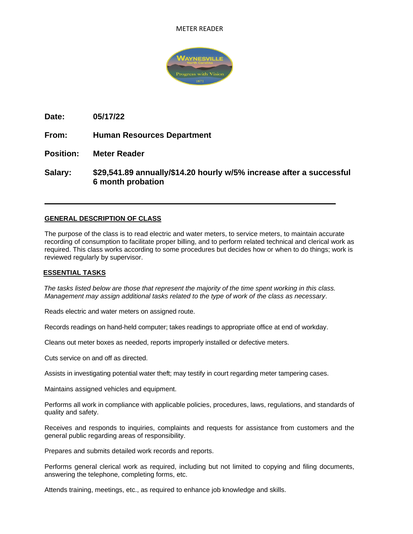#### METER READER



**Date: 05/17/22**

**From: Human Resources Department**

**Position: Meter Reader**

**Salary: \$29,541.89 annually/\$14.20 hourly w/5% increase after a successful 6 month probation** 

# **GENERAL DESCRIPTION OF CLASS**

The purpose of the class is to read electric and water meters, to service meters, to maintain accurate recording of consumption to facilitate proper billing, and to perform related technical and clerical work as required. This class works according to some procedures but decides how or when to do things; work is reviewed regularly by supervisor.

#### **ESSENTIAL TASKS**

*The tasks listed below are those that represent the majority of the time spent working in this class. Management may assign additional tasks related to the type of work of the class as necessary*.

Reads electric and water meters on assigned route.

Records readings on hand-held computer; takes readings to appropriate office at end of workday.

Cleans out meter boxes as needed, reports improperly installed or defective meters.

Cuts service on and off as directed.

Assists in investigating potential water theft; may testify in court regarding meter tampering cases.

Maintains assigned vehicles and equipment.

Performs all work in compliance with applicable policies, procedures, laws, regulations, and standards of quality and safety.

Receives and responds to inquiries, complaints and requests for assistance from customers and the general public regarding areas of responsibility.

Prepares and submits detailed work records and reports.

Performs general clerical work as required, including but not limited to copying and filing documents, answering the telephone, completing forms, etc.

Attends training, meetings, etc., as required to enhance job knowledge and skills.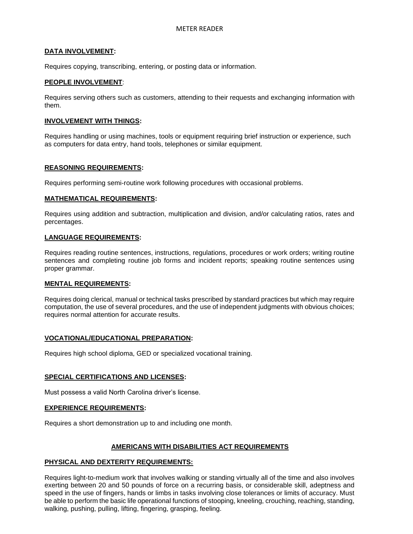# **DATA INVOLVEMENT:**

Requires copying, transcribing, entering, or posting data or information.

### **PEOPLE INVOLVEMENT**:

Requires serving others such as customers, attending to their requests and exchanging information with them.

#### **INVOLVEMENT WITH THINGS:**

Requires handling or using machines, tools or equipment requiring brief instruction or experience, such as computers for data entry, hand tools, telephones or similar equipment.

# **REASONING REQUIREMENTS:**

Requires performing semi-routine work following procedures with occasional problems.

# **MATHEMATICAL REQUIREMENTS:**

Requires using addition and subtraction, multiplication and division, and/or calculating ratios, rates and percentages.

# **LANGUAGE REQUIREMENTS:**

Requires reading routine sentences, instructions, regulations, procedures or work orders; writing routine sentences and completing routine job forms and incident reports; speaking routine sentences using proper grammar.

#### **MENTAL REQUIREMENTS:**

Requires doing clerical, manual or technical tasks prescribed by standard practices but which may require computation, the use of several procedures, and the use of independent judgments with obvious choices; requires normal attention for accurate results.

#### **VOCATIONAL/EDUCATIONAL PREPARATION:**

Requires high school diploma, GED or specialized vocational training.

#### **SPECIAL CERTIFICATIONS AND LICENSES:**

Must possess a valid North Carolina driver's license.

#### **EXPERIENCE REQUIREMENTS:**

Requires a short demonstration up to and including one month.

# **AMERICANS WITH DISABILITIES ACT REQUIREMENTS**

#### **PHYSICAL AND DEXTERITY REQUIREMENTS:**

Requires light-to-medium work that involves walking or standing virtually all of the time and also involves exerting between 20 and 50 pounds of force on a recurring basis, or considerable skill, adeptness and speed in the use of fingers, hands or limbs in tasks involving close tolerances or limits of accuracy. Must be able to perform the basic life operational functions of stooping, kneeling, crouching, reaching, standing, walking, pushing, pulling, lifting, fingering, grasping, feeling.